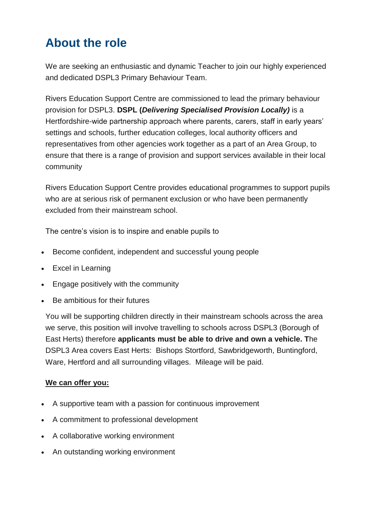## **About the role**

We are seeking an enthusiastic and dynamic Teacher to join our highly experienced and dedicated DSPL3 Primary Behaviour Team.

Rivers Education Support Centre are commissioned to lead the primary behaviour provision for DSPL3. **DSPL (***Delivering Specialised Provision Locally)* is a Hertfordshire-wide partnership approach where parents, carers, staff in early years' settings and schools, further education colleges, local authority officers and representatives from other agencies work together as a part of an Area Group, to ensure that there is a range of provision and support services available in their local community

Rivers Education Support Centre provides educational programmes to support pupils who are at serious risk of permanent exclusion or who have been permanently excluded from their mainstream school.

The centre's vision is to inspire and enable pupils to

- Become confident, independent and successful young people
- Excel in Learning
- **Engage positively with the community**
- Be ambitious for their futures

You will be supporting children directly in their mainstream schools across the area we serve, this position will involve travelling to schools across DSPL3 (Borough of East Herts) therefore **applicants must be able to drive and own a vehicle. T**he DSPL3 Area covers East Herts: Bishops Stortford, Sawbridgeworth, Buntingford, Ware, Hertford and all surrounding villages. Mileage will be paid.

## **We can offer you:**

- A supportive team with a passion for continuous improvement
- A commitment to professional development
- A collaborative working environment
- An outstanding working environment